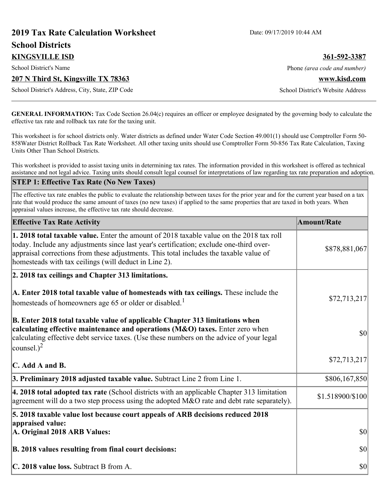# **2019 Tax Rate Calculation Worksheet** Date: 09/17/2019 10:44 AM **School Districts KINGSVILLE ISD 361-592-3387** School District's Name **Phone** *(area code and number)* Phone *(area code and number)* **207 N Third St, Kingsville TX 78363 www.kisd.com** School District's Address, City, State, ZIP Code School District's Website Address

**GENERAL INFORMATION:** Tax Code Section 26.04(c) requires an officer or employee designated by the governing body to calculate the effective tax rate and rollback tax rate for the taxing unit.

This worksheet is for school districts only. Water districts as defined under Water Code Section 49.001(1) should use Comptroller Form 50- 858Water District Rollback Tax Rate Worksheet. All other taxing units should use Comptroller Form 50-856 Tax Rate Calculation, Taxing Units Other Than School Districts.

This worksheet is provided to assist taxing units in determining tax rates. The information provided in this worksheet is offered as technical assistance and not legal advice. Taxing units should consult legal counsel for interpretations of law regarding tax rate preparation and adoption.

#### **STEP 1: Effective Tax Rate (No New Taxes)**

The effective tax rate enables the public to evaluate the relationship between taxes for the prior year and for the current year based on a tax rate that would produce the same amount of taxes (no new taxes) if applied to the same properties that are taxed in both years. When appraisal values increase, the effective tax rate should decrease.

| <b>Effective Tax Rate Activity</b>                                                                                                                                                                                                                                                                                                     | <b>Amount/Rate</b> |
|----------------------------------------------------------------------------------------------------------------------------------------------------------------------------------------------------------------------------------------------------------------------------------------------------------------------------------------|--------------------|
| 1. 2018 total taxable value. Enter the amount of 2018 taxable value on the 2018 tax roll<br>today. Include any adjustments since last year's certification; exclude one-third over-<br>appraisal corrections from these adjustments. This total includes the taxable value of<br>homesteads with tax ceilings (will deduct in Line 2). | \$878,881,067      |
| 2. 2018 tax ceilings and Chapter 313 limitations.                                                                                                                                                                                                                                                                                      |                    |
| A. Enter 2018 total taxable value of homesteads with tax ceilings. These include the<br>homesteads of homeowners age 65 or older or disabled. <sup>1</sup>                                                                                                                                                                             | \$72,713,217       |
| B. Enter 2018 total taxable value of applicable Chapter 313 limitations when<br>calculating effective maintenance and operations (M&O) taxes. Enter zero when<br>calculating effective debt service taxes. (Use these numbers on the advice of your legal<br>counsel.) $^2$                                                            | \$0                |
| $\mathbf C$ . Add A and B.                                                                                                                                                                                                                                                                                                             | \$72,713,217       |
| 3. Preliminary 2018 adjusted taxable value. Subtract Line 2 from Line 1.                                                                                                                                                                                                                                                               | \$806,167,850      |
| 4. 2018 total adopted tax rate (School districts with an applicable Chapter 313 limitation<br>agreement will do a two step process using the adopted M&O rate and debt rate separately).                                                                                                                                               | \$1.518900/\$100   |
| 5. 2018 taxable value lost because court appeals of ARB decisions reduced 2018                                                                                                                                                                                                                                                         |                    |
| appraised value:<br>A. Original 2018 ARB Values:                                                                                                                                                                                                                                                                                       | $ 10\rangle$       |
| B. 2018 values resulting from final court decisions:                                                                                                                                                                                                                                                                                   | \$0                |
| C. 2018 value loss. Subtract B from A.                                                                                                                                                                                                                                                                                                 | \$0                |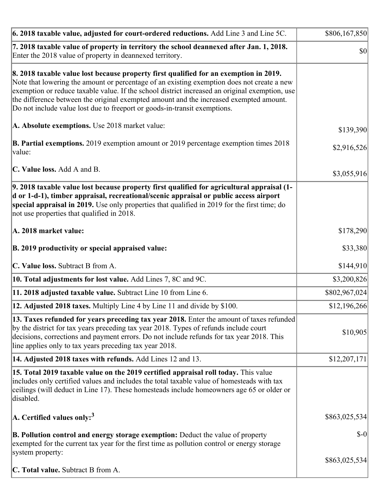| 6. 2018 taxable value, adjusted for court-ordered reductions. Add Line 3 and Line 5C.                                                                                                                                                                                                                                                                                                                                                                        | \$806,167,850 |
|--------------------------------------------------------------------------------------------------------------------------------------------------------------------------------------------------------------------------------------------------------------------------------------------------------------------------------------------------------------------------------------------------------------------------------------------------------------|---------------|
| 7. 2018 taxable value of property in territory the school deannexed after Jan. 1, 2018.<br>Enter the 2018 value of property in deannexed territory.                                                                                                                                                                                                                                                                                                          | \$0           |
| 8. 2018 taxable value lost because property first qualified for an exemption in 2019.<br>Note that lowering the amount or percentage of an existing exemption does not create a new<br>exemption or reduce taxable value. If the school district increased an original exemption, use<br>the difference between the original exempted amount and the increased exempted amount.<br>Do not include value lost due to freeport or goods-in-transit exemptions. |               |
| A. Absolute exemptions. Use 2018 market value:                                                                                                                                                                                                                                                                                                                                                                                                               | \$139,390     |
| <b>B. Partial exemptions.</b> 2019 exemption amount or 2019 percentage exemption times 2018<br>$\vert$ value:                                                                                                                                                                                                                                                                                                                                                | \$2,916,526   |
| C. Value loss. Add A and B.                                                                                                                                                                                                                                                                                                                                                                                                                                  | \$3,055,916   |
| 9. 2018 taxable value lost because property first qualified for agricultural appraisal (1-<br>d or 1-d-1), timber appraisal, recreational/scenic appraisal or public access airport<br>special appraisal in 2019. Use only properties that qualified in 2019 for the first time; do<br>not use properties that qualified in 2018.                                                                                                                            |               |
| A. 2018 market value:                                                                                                                                                                                                                                                                                                                                                                                                                                        | \$178,290     |
| B. 2019 productivity or special appraised value:                                                                                                                                                                                                                                                                                                                                                                                                             | \$33,380      |
| C. Value loss. Subtract B from A.                                                                                                                                                                                                                                                                                                                                                                                                                            | \$144,910     |
| 10. Total adjustments for lost value. Add Lines 7, 8C and 9C.                                                                                                                                                                                                                                                                                                                                                                                                | \$3,200,826   |
| 11. 2018 adjusted taxable value. Subtract Line 10 from Line 6.                                                                                                                                                                                                                                                                                                                                                                                               | \$802,967,024 |
| 12. Adjusted 2018 taxes. Multiply Line 4 by Line 11 and divide by \$100.                                                                                                                                                                                                                                                                                                                                                                                     | \$12,196,266  |
| [13. Taxes refunded for years preceding tax year 2018. Enter the amount of taxes refunded]<br>by the district for tax years preceding tax year 2018. Types of refunds include court<br>decisions, corrections and payment errors. Do not include refunds for tax year 2018. This<br>line applies only to tax years preceding tax year 2018.                                                                                                                  | \$10,905      |
| 14. Adjusted 2018 taxes with refunds. Add Lines 12 and 13.                                                                                                                                                                                                                                                                                                                                                                                                   | \$12,207,171  |
| 15. Total 2019 taxable value on the 2019 certified appraisal roll today. This value<br>includes only certified values and includes the total taxable value of homesteads with tax<br>ceilings (will deduct in Line 17). These homesteads include homeowners age 65 or older or<br>disabled.                                                                                                                                                                  |               |
| $ A$ . Certified values only: <sup>3</sup>                                                                                                                                                                                                                                                                                                                                                                                                                   | \$863,025,534 |
| <b>B. Pollution control and energy storage exemption:</b> Deduct the value of property<br>exempted for the current tax year for the first time as pollution control or energy storage<br>system property:                                                                                                                                                                                                                                                    | $$-0$         |
|                                                                                                                                                                                                                                                                                                                                                                                                                                                              | \$863,025,534 |
| <b>C. Total value.</b> Subtract B from A.                                                                                                                                                                                                                                                                                                                                                                                                                    |               |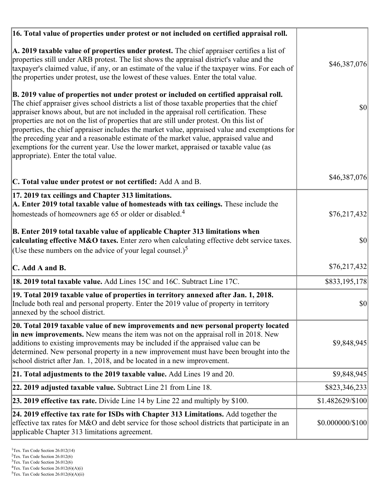| 16. Total value of properties under protest or not included on certified appraisal roll.                                                                                                                                                                                                                                                                                                                                                                                                                                                                                                                                                                                                                  |                  |
|-----------------------------------------------------------------------------------------------------------------------------------------------------------------------------------------------------------------------------------------------------------------------------------------------------------------------------------------------------------------------------------------------------------------------------------------------------------------------------------------------------------------------------------------------------------------------------------------------------------------------------------------------------------------------------------------------------------|------------------|
| A. 2019 taxable value of properties under protest. The chief appraiser certifies a list of<br>properties still under ARB protest. The list shows the appraisal district's value and the<br>taxpayer's claimed value, if any, or an estimate of the value if the taxpayer wins. For each of<br>the properties under protest, use the lowest of these values. Enter the total value.                                                                                                                                                                                                                                                                                                                        | \$46,387,076     |
| B. 2019 value of properties not under protest or included on certified appraisal roll.<br>The chief appraiser gives school districts a list of those taxable properties that the chief<br>appraiser knows about, but are not included in the appraisal roll certification. These<br>properties are not on the list of properties that are still under protest. On this list of<br>properties, the chief appraiser includes the market value, appraised value and exemptions for<br>the preceding year and a reasonable estimate of the market value, appraised value and<br>exemptions for the current year. Use the lower market, appraised or taxable value (as<br>appropriate). Enter the total value. | 30               |
| C. Total value under protest or not certified: Add A and B.                                                                                                                                                                                                                                                                                                                                                                                                                                                                                                                                                                                                                                               | \$46,387,076     |
| 17. 2019 tax ceilings and Chapter 313 limitations.<br>A. Enter 2019 total taxable value of homesteads with tax ceilings. These include the                                                                                                                                                                                                                                                                                                                                                                                                                                                                                                                                                                |                  |
| homesteads of homeowners age 65 or older or disabled. <sup>4</sup>                                                                                                                                                                                                                                                                                                                                                                                                                                                                                                                                                                                                                                        | \$76,217,432     |
| B. Enter 2019 total taxable value of applicable Chapter 313 limitations when<br>calculating effective M&O taxes. Enter zero when calculating effective debt service taxes.                                                                                                                                                                                                                                                                                                                                                                                                                                                                                                                                | \$0              |
| (Use these numbers on the advice of your legal counsel.) <sup>5</sup>                                                                                                                                                                                                                                                                                                                                                                                                                                                                                                                                                                                                                                     |                  |
| C. Add A and B.                                                                                                                                                                                                                                                                                                                                                                                                                                                                                                                                                                                                                                                                                           | \$76,217,432     |
| 18. 2019 total taxable value. Add Lines 15C and 16C. Subtract Line 17C.                                                                                                                                                                                                                                                                                                                                                                                                                                                                                                                                                                                                                                   | \$833,195,178    |
| 19. Total 2019 taxable value of properties in territory annexed after Jan. 1, 2018.<br>Include both real and personal property. Enter the 2019 value of property in territory<br>annexed by the school district.                                                                                                                                                                                                                                                                                                                                                                                                                                                                                          | \$0              |
| 20. Total 2019 taxable value of new improvements and new personal property located<br>in new improvements. New means the item was not on the appraisal roll in 2018. New<br>additions to existing improvements may be included if the appraised value can be<br>determined. New personal property in a new improvement must have been brought into the<br>school district after Jan. 1, 2018, and be located in a new improvement.                                                                                                                                                                                                                                                                        | \$9,848,945      |
| 21. Total adjustments to the 2019 taxable value. Add Lines 19 and 20.                                                                                                                                                                                                                                                                                                                                                                                                                                                                                                                                                                                                                                     | \$9,848,945      |
| <b>22. 2019 adjusted taxable value.</b> Subtract Line 21 from Line 18.                                                                                                                                                                                                                                                                                                                                                                                                                                                                                                                                                                                                                                    | \$823,346,233    |
| <b>23. 2019 effective tax rate.</b> Divide Line 14 by Line 22 and multiply by \$100.                                                                                                                                                                                                                                                                                                                                                                                                                                                                                                                                                                                                                      | \$1.482629/\$100 |
| 24. 2019 effective tax rate for ISDs with Chapter 313 Limitations. Add together the<br>effective tax rates for M&O and debt service for those school districts that participate in an<br>applicable Chapter 313 limitations agreement.                                                                                                                                                                                                                                                                                                                                                                                                                                                                    | \$0.000000/\$100 |

 $2$ Tex. Tax Code Section 26.012(6)

<sup>&</sup>lt;sup>3</sup>Tex. Tax Code Section 26.012(6)

 ${}^{4}$ Tex. Tax Code Section 26.012(6)(A)(i)

 $5$ Tex. Tax Code Section 26.012(6)(A)(ii)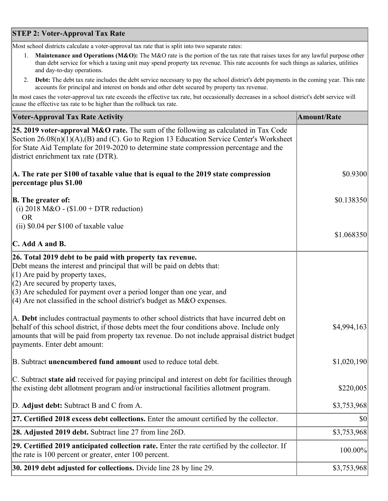## **STEP 2: Voter-Approval Tax Rate**

Most school districts calculate a voter-approval tax rate that is split into two separate rates:

- 1. **Maintenance and Operations (M&O):** The M&O rate is the portion of the tax rate that raises taxes for any lawful purpose other than debt service for which a taxing unit may spend property tax revenue. This rate accounts for such things as salaries, utilities and day-to-day operations.
- 2. **Debt:** The debt tax rate includes the debt service necessary to pay the school district's debt payments in the coming year. This rate accounts for principal and interest on bonds and other debt secured by property tax revenue.

In most cases the voter-approval tax rate exceeds the effective tax rate, but occasionally decreases in a school district's debt service will cause the effective tax rate to be higher than the rollback tax rate.

| <b>Voter-Approval Tax Rate Activity</b>                                                                                                                                                                                                                                                                                                                                  | <b>Amount/Rate</b> |
|--------------------------------------------------------------------------------------------------------------------------------------------------------------------------------------------------------------------------------------------------------------------------------------------------------------------------------------------------------------------------|--------------------|
| <b>25. 2019 voter-approval M&amp;O rate.</b> The sum of the following as calculated in Tax Code<br>Section $26.08(n)(1)(A),(B)$ and (C). Go to Region 13 Education Service Center's Worksheet<br>for State Aid Template for 2019-2020 to determine state compression percentage and the<br>district enrichment tax rate (DTR).                                           |                    |
| A. The rate per \$100 of taxable value that is equal to the 2019 state compression<br>percentage plus \$1.00                                                                                                                                                                                                                                                             | \$0.9300           |
| <b>B.</b> The greater of:<br>(i) 2018 M&O - $$1.00 + DTR$ reduction)<br><b>OR</b>                                                                                                                                                                                                                                                                                        | \$0.138350         |
| (ii) \$0.04 per \$100 of taxable value                                                                                                                                                                                                                                                                                                                                   | \$1.068350         |
| $\mathbf C$ . Add A and B.                                                                                                                                                                                                                                                                                                                                               |                    |
| 26. Total 2019 debt to be paid with property tax revenue.<br>Debt means the interest and principal that will be paid on debts that:<br>$(1)$ Are paid by property taxes,<br>$(2)$ Are secured by property taxes,<br>$(3)$ Are scheduled for payment over a period longer than one year, and<br>$(4)$ Are not classified in the school district's budget as M&O expenses. |                    |
| A. Debt includes contractual payments to other school districts that have incurred debt on<br>behalf of this school district, if those debts meet the four conditions above. Include only<br>amounts that will be paid from property tax revenue. Do not include appraisal district budget<br>payments. Enter debt amount:                                               | \$4,994,163        |
| B. Subtract <b>unencumbered fund amount</b> used to reduce total debt.                                                                                                                                                                                                                                                                                                   | \$1,020,190        |
| C. Subtract state aid received for paying principal and interest on debt for facilities through<br>the existing debt allotment program and/or instructional facilities allotment program.                                                                                                                                                                                | \$220,005          |
| D. Adjust debt: Subtract B and C from A.                                                                                                                                                                                                                                                                                                                                 | \$3,753,968        |
| $ 27$ . Certified 2018 excess debt collections. Enter the amount certified by the collector.                                                                                                                                                                                                                                                                             | \$0                |
| 28. Adjusted 2019 debt. Subtract line 27 from line 26D.                                                                                                                                                                                                                                                                                                                  | \$3,753,968        |
| 29. Certified 2019 anticipated collection rate. Enter the rate certified by the collector. If<br>the rate is 100 percent or greater, enter 100 percent.                                                                                                                                                                                                                  | 100.00%            |
| <b>30. 2019 debt adjusted for collections.</b> Divide line 28 by line 29.                                                                                                                                                                                                                                                                                                | \$3,753,968        |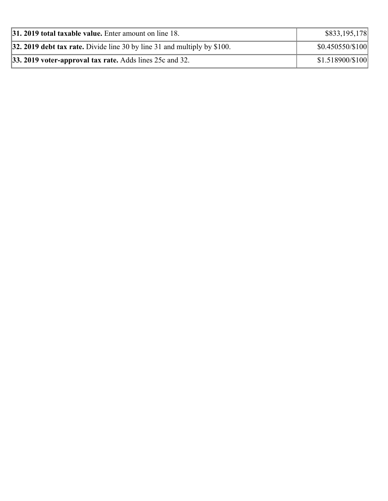| <b>31. 2019 total taxable value.</b> Enter amount on line 18.              | \$833,195,178    |
|----------------------------------------------------------------------------|------------------|
| 32. 2019 debt tax rate. Divide line 30 by line 31 and multiply by $$100$ . | \$0.450550/\$100 |
| <b>33. 2019 voter-approval tax rate.</b> Adds lines 25c and 32.            | \$1.518900/\$100 |